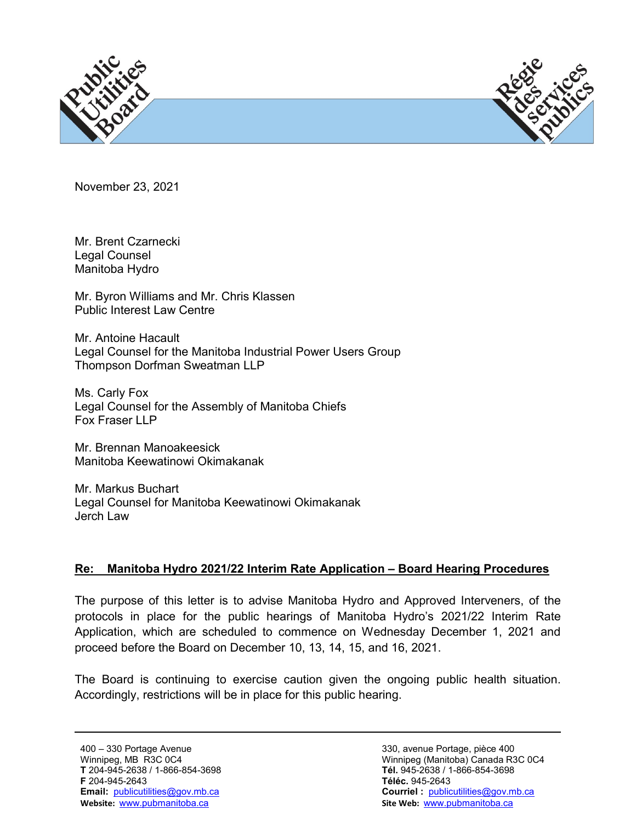



November 23, 2021

Mr. Brent Czarnecki Legal Counsel Manitoba Hydro

Mr. Byron Williams and Mr. Chris Klassen Public Interest Law Centre

Mr. Antoine Hacault Legal Counsel for the Manitoba Industrial Power Users Group Thompson Dorfman Sweatman LLP

Ms. Carly Fox Legal Counsel for the Assembly of Manitoba Chiefs Fox Fraser LLP

Mr. Brennan Manoakeesick Manitoba Keewatinowi Okimakanak

Mr. Markus Buchart Legal Counsel for Manitoba Keewatinowi Okimakanak Jerch Law

## **Re: Manitoba Hydro 2021/22 Interim Rate Application – Board Hearing Procedures**

The purpose of this letter is to advise Manitoba Hydro and Approved Interveners, of the protocols in place for the public hearings of Manitoba Hydro's 2021/22 Interim Rate Application, which are scheduled to commence on Wednesday December 1, 2021 and proceed before the Board on December 10, 13, 14, 15, and 16, 2021.

The Board is continuing to exercise caution given the ongoing public health situation. Accordingly, restrictions will be in place for this public hearing.